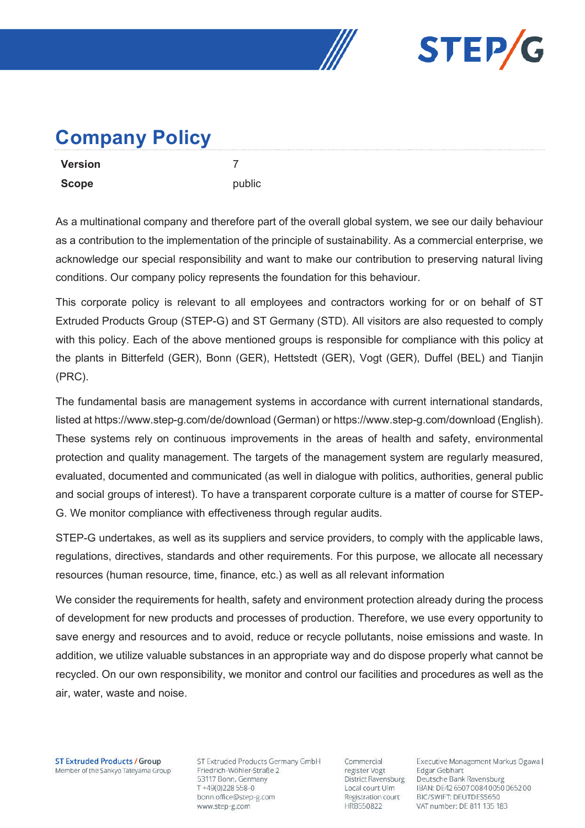



## **Company Policy**

| <b>Version</b> |   |
|----------------|---|
| <b>Scope</b>   | Ŋ |

As a multinational company and therefore part of the overall global system, we see our daily behaviour as a contribution to the implementation of the principle of sustainability. As a commercial enterprise, we acknowledge our special responsibility and want to make our contribution to preserving natural living conditions. Our company policy represents the foundation for this behaviour.

public

This corporate policy is relevant to all employees and contractors working for or on behalf of ST Extruded Products Group (STEP-G) and ST Germany (STD). All visitors are also requested to comply with this policy. Each of the above mentioned groups is responsible for compliance with this policy at the plants in Bitterfeld (GER), Bonn (GER), Hettstedt (GER), Vogt (GER), Duffel (BEL) and Tianjin (PRC).

The fundamental basis are management systems in accordance with current international standards, listed at https://www.step-g.com/de/download (German) or https://www.step-g.com/download (English). These systems rely on continuous improvements in the areas of health and safety, environmental protection and quality management. The targets of the management system are regularly measured, evaluated, documented and communicated (as well in dialogue with politics, authorities, general public and social groups of interest). To have a transparent corporate culture is a matter of course for STEP-G. We monitor compliance with effectiveness through regular audits.

STEP-G undertakes, as well as its suppliers and service providers, to comply with the applicable laws, regulations, directives, standards and other requirements. For this purpose, we allocate all necessary resources (human resource, time, finance, etc.) as well as all relevant information

We consider the requirements for health, safety and environment protection already during the process of development for new products and processes of production. Therefore, we use every opportunity to save energy and resources and to avoid, reduce or recycle pollutants, noise emissions and waste. In addition, we utilize valuable substances in an appropriate way and do dispose properly what cannot be recycled. On our own responsibility, we monitor and control our facilities and procedures as well as the air, water, waste and noise.

**ST Extruded Products / Group** Member of the Sankyo Tateyama Group ST Extruded Products Germany GmbH Friedrich-Wöhler-Straße 2 53117 Bonn, Germany T+49(0)228558-0 bonn.office@step-g.com www.step-g.com

Commercial register Vogt District Ravensburg Local court Ulm Registration court HRB550822

Executive Management Markus Ogawa | Edgar Gebhart Deutsche Bank Ravensburg IBAN: DE42 6507 0084 0050 0652 00 BIC/SWIFT: DEUTDESS650 VAT number: DE 811 135 183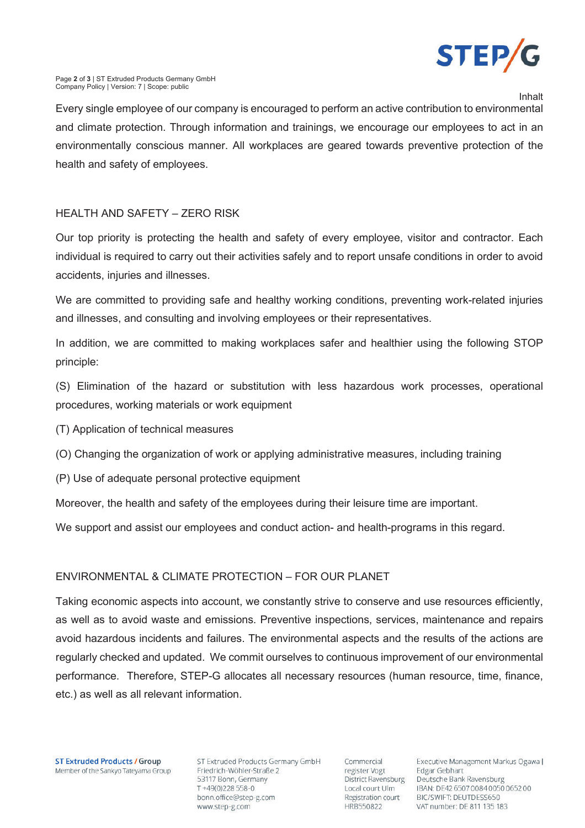

Inhalt

Every single employee of our company is encouraged to perform an active contribution to environmental and climate protection. Through information and trainings, we encourage our employees to act in an environmentally conscious manner. All workplaces are geared towards preventive protection of the health and safety of employees.

## HEALTH AND SAFETY – ZERO RISK

Our top priority is protecting the health and safety of every employee, visitor and contractor. Each individual is required to carry out their activities safely and to report unsafe conditions in order to avoid accidents, injuries and illnesses.

We are committed to providing safe and healthy working conditions, preventing work-related injuries and illnesses, and consulting and involving employees or their representatives.

In addition, we are committed to making workplaces safer and healthier using the following STOP principle:

(S) Elimination of the hazard or substitution with less hazardous work processes, operational procedures, working materials or work equipment

- (T) Application of technical measures
- (O) Changing the organization of work or applying administrative measures, including training
- (P) Use of adequate personal protective equipment

Moreover, the health and safety of the employees during their leisure time are important.

We support and assist our employees and conduct action- and health-programs in this regard.

## ENVIRONMENTAL & CLIMATE PROTECTION – FOR OUR PLANET

Taking economic aspects into account, we constantly strive to conserve and use resources efficiently, as well as to avoid waste and emissions. Preventive inspections, services, maintenance and repairs avoid hazardous incidents and failures. The environmental aspects and the results of the actions are regularly checked and updated. We commit ourselves to continuous improvement of our environmental performance. Therefore, STEP-G allocates all necessary resources (human resource, time, finance, etc.) as well as all relevant information.

ST Extruded Products Germany GmbH Friedrich-Wöhler-Straße 2 53117 Bonn, Germany T+49(0)228558-0 bonn.office@step-g.com www.step-g.com

Commercial register Vogt District Ravensburg Local court Ulm Registration court HRB550822

Executive Management Markus Ogawa | Edgar Gebhart Deutsche Bank Ravensburg IBAN: DE42 6507 0084 0050 0652 00 BIC/SWIFT: DEUTDESS650 VAT number: DE 811 135 183